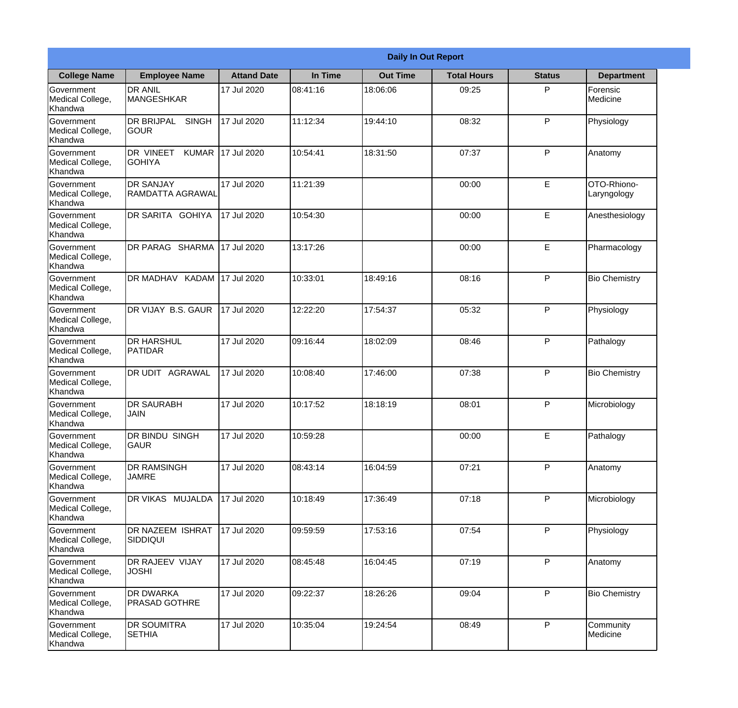|                                                  |                                              |                    |          | <b>Daily In Out Report</b> |                    |               |                            |
|--------------------------------------------------|----------------------------------------------|--------------------|----------|----------------------------|--------------------|---------------|----------------------------|
| <b>College Name</b>                              | <b>Employee Name</b>                         | <b>Attand Date</b> | In Time  | <b>Out Time</b>            | <b>Total Hours</b> | <b>Status</b> | <b>Department</b>          |
| Government<br>Medical College,<br>Khandwa        | <b>DR ANIL</b><br><b>MANGESHKAR</b>          | 17 Jul 2020        | 08:41:16 | 18:06:06                   | 09:25              | P             | Forensic<br>Medicine       |
| Government<br>Medical College,<br>Khandwa        | <b>DR BRIJPAL</b><br><b>SINGH</b><br> GOUR   | 17 Jul 2020        | 11:12:34 | 19:44:10                   | 08:32              | P             | Physiology                 |
| <b>Government</b><br>Medical College,<br>Khandwa | DR VINEET<br><b>KUMAR</b><br><b>I</b> GOHIYA | 17 Jul 2020        | 10:54:41 | 18:31:50                   | 07:37              | P             | Anatomy                    |
| Government<br>Medical College,<br>Khandwa        | <b>DR SANJAY</b><br><b>RAMDATTA AGRAWAL</b>  | 17 Jul 2020        | 11:21:39 |                            | 00:00              | E             | OTO-Rhiono-<br>Laryngology |
| Government<br>Medical College,<br>Khandwa        | <b>DR SARITA GOHIYA</b>                      | 17 Jul 2020        | 10:54:30 |                            | 00:00              | E             | Anesthesiology             |
| Government<br>Medical College,<br>Khandwa        | DR PARAG SHARMA                              | 17 Jul 2020        | 13:17:26 |                            | 00:00              | E             | Pharmacology               |
| Government<br>Medical College,<br>Khandwa        | DR MADHAV KADAM 17 Jul 2020                  |                    | 10:33:01 | 18:49:16                   | 08:16              | P             | <b>Bio Chemistry</b>       |
| Government<br>Medical College,<br>Khandwa        | DR VIJAY B.S. GAUR                           | 17 Jul 2020        | 12:22:20 | 17:54:37                   | 05:32              | P             | Physiology                 |
| Government<br>Medical College,<br>Khandwa        | <b>DR HARSHUL</b><br>PATIDAR                 | 17 Jul 2020        | 09:16:44 | 18:02:09                   | 08:46              | P             | Pathalogy                  |
| Government<br>Medical College,<br>Khandwa        | DR UDIT<br><b>AGRAWAL</b>                    | 17 Jul 2020        | 10:08:40 | 17:46:00                   | 07:38              | P             | <b>Bio Chemistry</b>       |
| Government<br>Medical College,<br>Khandwa        | <b>IDR SAURABH</b><br><b>JAIN</b>            | 17 Jul 2020        | 10:17:52 | 18:18:19                   | 08:01              | $\mathsf{P}$  | Microbiology               |
| Government<br>Medical College,<br>Khandwa        | DR BINDU SINGH<br><b>GAUR</b>                | 17 Jul 2020        | 10:59:28 |                            | 00:00              | E             | Pathalogy                  |
| Government<br>Medical College,<br>Khandwa        | <b>DR RAMSINGH</b><br><b>JAMRE</b>           | 17 Jul 2020        | 08:43:14 | 16:04:59                   | 07:21              | P             | Anatomy                    |
| Government<br>Medical College,<br>Khandwa        | <b>DR VIKAS MUJALDA</b>                      | 17 Jul 2020        | 10:18:49 | 17:36:49                   | 07:18              | P             | Microbiology               |
| Government<br>Medical College,<br>Khandwa        | <b>DR NAZEEM ISHRAT</b><br>SIDDIQUI          | 17 Jul 2020        | 09:59:59 | 17:53:16                   | 07:54              | $\mathsf{P}$  | Physiology                 |
| Government<br>Medical College,<br>Khandwa        | <b>DR RAJEEV VIJAY</b><br><b>JOSHI</b>       | 17 Jul 2020        | 08:45:48 | 16:04:45                   | 07:19              | P             | Anatomy                    |
| Government<br>Medical College,<br>Khandwa        | <b>DR DWARKA</b><br><b>PRASAD GOTHRE</b>     | 17 Jul 2020        | 09:22:37 | 18:26:26                   | 09:04              | P             | <b>Bio Chemistry</b>       |
| Government<br>Medical College,<br>Khandwa        | <b>DR SOUMITRA</b><br><b>SETHIA</b>          | 17 Jul 2020        | 10:35:04 | 19:24:54                   | 08:49              | P             | Community<br>Medicine      |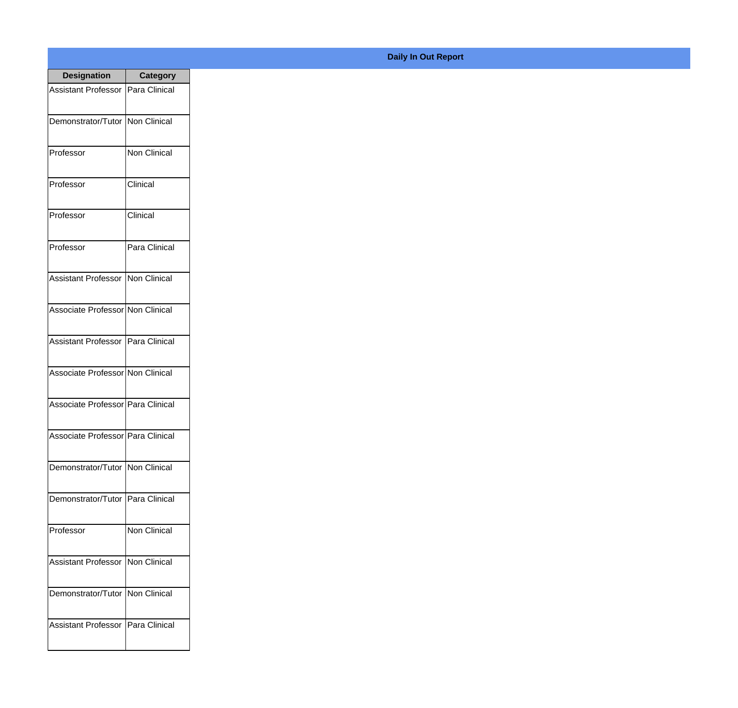| <b>Designation</b>                  | <b>Category</b>     |
|-------------------------------------|---------------------|
| Assistant Professor   Para Clinical |                     |
| Demonstrator/Tutor                  | Non Clinical        |
| Professor                           | <b>Non Clinical</b> |
| Professor                           | Clinical            |
| Professor                           | Clinical            |
| Professor                           | Para Clinical       |
| <b>Assistant Professor</b>          | Non Clinical        |
| Associate Professor Non Clinical    |                     |
| Assistant Professor   Para Clinical |                     |
| Associate Professor Non Clinical    |                     |
| Associate Professor   Para Clinical |                     |
| Associate Professor   Para Clinical |                     |
| Demonstrator/Tutor   Non Clinical   |                     |
| Demonstrator/Tutor   Para Clinical  |                     |
| Professor                           | Non Clinical        |
| <b>Assistant Professor</b>          | Non Clinical        |
| Demonstrator/Tutor   Non Clinical   |                     |
| Assistant Professor   Para Clinical |                     |

## **Daily In Out Report**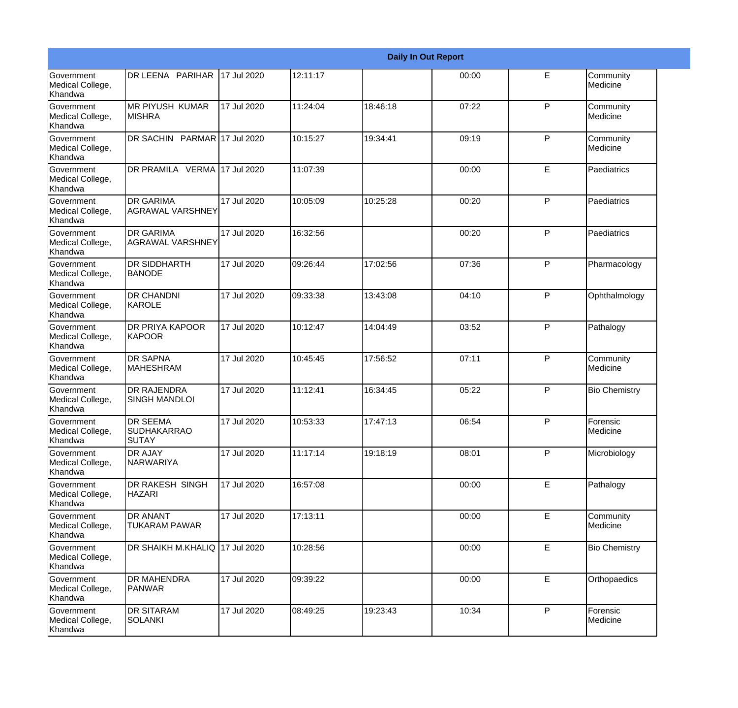|                                                         |                                                |             |          |          | <b>Daily In Out Report</b> |              |                       |
|---------------------------------------------------------|------------------------------------------------|-------------|----------|----------|----------------------------|--------------|-----------------------|
| Government<br>Medical College,<br>Khandwa               | DR LEENA PARIHAR                               | 17 Jul 2020 | 12:11:17 |          | 00:00                      | E            | Community<br>Medicine |
| <b>Government</b><br>Medical College,<br>Khandwa        | IMR PIYUSH KUMAR<br><b>MISHRA</b>              | 17 Jul 2020 | 11:24:04 | 18:46:18 | 07:22                      | $\mathsf{P}$ | Community<br>Medicine |
| <b>Government</b><br>Medical College,<br>Khandwa        | DR SACHIN PARMAR 17 Jul 2020                   |             | 10:15:27 | 19:34:41 | 09:19                      | P            | Community<br>Medicine |
| <b>Government</b><br>Medical College,<br>Khandwa        | DR PRAMILA VERMA 17 Jul 2020                   |             | 11:07:39 |          | 00:00                      | E            | Paediatrics           |
| Government<br>Medical College,<br>Khandwa               | <b>DR GARIMA</b><br><b>AGRAWAL VARSHNEY</b>    | 17 Jul 2020 | 10:05:09 | 10:25:28 | 00:20                      | P            | Paediatrics           |
| <b>Government</b><br>Medical College,<br><b>Khandwa</b> | <b>DR GARIMA</b><br><b>AGRAWAL VARSHNEY</b>    | 17 Jul 2020 | 16:32:56 |          | 00:20                      | $\mathsf{P}$ | Paediatrics           |
| Government<br>Medical College,<br>Khandwa               | <b>DR SIDDHARTH</b><br><b>BANODE</b>           | 17 Jul 2020 | 09:26:44 | 17:02:56 | 07:36                      | P            | Pharmacology          |
| Government<br>Medical College,<br>Khandwa               | <b>DR CHANDNI</b><br>KAROLE                    | 17 Jul 2020 | 09:33:38 | 13:43:08 | 04:10                      | P            | Ophthalmology         |
| Government<br>Medical College,<br>Khandwa               | <b>DR PRIYA KAPOOR</b><br><b>KAPOOR</b>        | 17 Jul 2020 | 10:12:47 | 14:04:49 | 03:52                      | $\mathsf{P}$ | Pathalogy             |
| <b>Government</b><br>Medical College,<br>Khandwa        | <b>DR SAPNA</b><br><b>MAHESHRAM</b>            | 17 Jul 2020 | 10:45:45 | 17:56:52 | 07:11                      | $\mathsf{P}$ | Community<br>Medicine |
| <b>Government</b><br>Medical College,<br>Khandwa        | <b>DR RAJENDRA</b><br><b>SINGH MANDLOI</b>     | 17 Jul 2020 | 11:12:41 | 16:34:45 | 05:22                      | $\mathsf{P}$ | <b>Bio Chemistry</b>  |
| Government<br>Medical College,<br>Khandwa               | <b>DR SEEMA</b><br>SUDHAKARRAO<br><b>SUTAY</b> | 17 Jul 2020 | 10:53:33 | 17:47:13 | 06:54                      | P            | Forensic<br>Medicine  |
| Government<br>Medical College,<br>Khandwa               | DR AJAY<br>NARWARIYA                           | 17 Jul 2020 | 11:17:14 | 19:18:19 | 08:01                      | $\mathsf{P}$ | Microbiology          |
| Government<br>Medical College,<br>Khandwa               | DR RAKESH SINGH<br><b>HAZARI</b>               | 17 Jul 2020 | 16:57:08 |          | 00:00                      | E            | Pathalogy             |
| Government<br>Medical College,<br>Khandwa               | <b>DR ANANT</b><br><b>TUKARAM PAWAR</b>        | 17 Jul 2020 | 17:13:11 |          | 00:00                      | E            | Community<br>Medicine |
| Government<br>Medical College,<br>Khandwa               | DR SHAIKH M.KHALIQ 17 Jul 2020                 |             | 10:28:56 |          | 00:00                      | E            | <b>Bio Chemistry</b>  |
| Government<br>Medical College,<br>Khandwa               | DR MAHENDRA<br><b>PANWAR</b>                   | 17 Jul 2020 | 09:39:22 |          | 00:00                      | E            | Orthopaedics          |
| Government<br>Medical College,<br>Khandwa               | <b>DR SITARAM</b><br><b>SOLANKI</b>            | 17 Jul 2020 | 08:49:25 | 19:23:43 | 10:34                      | P            | Forensic<br>Medicine  |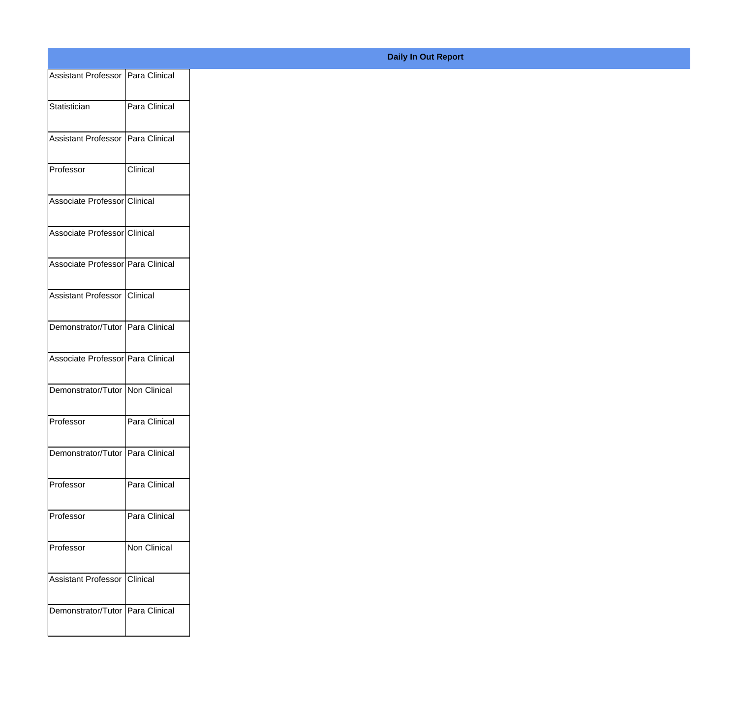| Assistant Professor   Para Clinical |               |
|-------------------------------------|---------------|
| Statistician                        | Para Clinical |
|                                     |               |
| Assistant Professor Para Clinical   |               |
| Professor                           | Clinical      |
| Associate Professor Clinical        |               |
| Associate Professor Clinical        |               |
| Associate Professor Para Clinical   |               |
| Assistant Professor Clinical        |               |
| Demonstrator/Tutor Para Clinical    |               |
| Associate Professor Para Clinical   |               |
| Demonstrator/Tutor Non Clinical     |               |
| Professor                           | Para Clinical |
|                                     |               |
| Demonstrator/Tutor Para Clinical    |               |
| Professor                           | Para Clinical |
| Professor                           | Para Clinical |
| Professor                           | Non Clinical  |
| Assistant Professor Clinical        |               |
|                                     |               |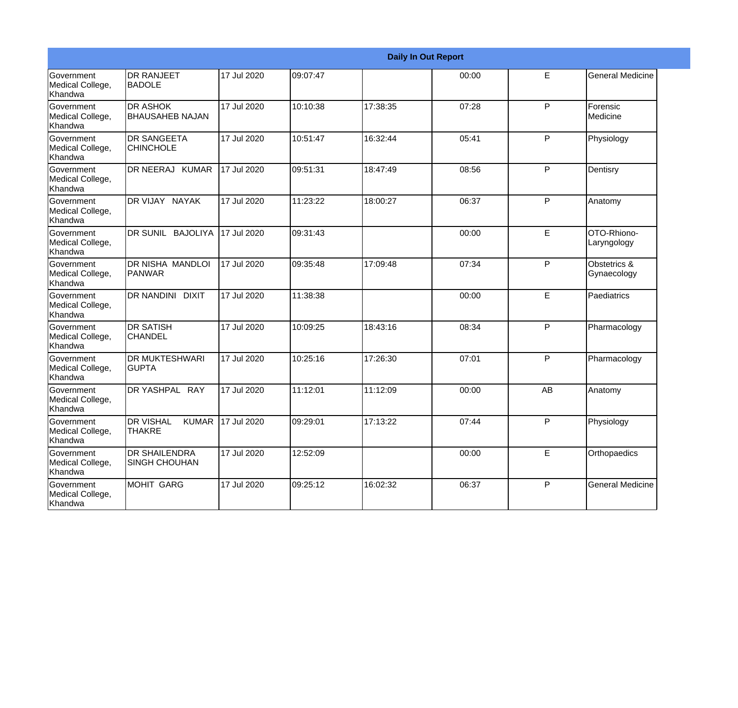|                                                  |                                                   |             |          | <b>Daily In Out Report</b> |       |    |                             |
|--------------------------------------------------|---------------------------------------------------|-------------|----------|----------------------------|-------|----|-----------------------------|
| Government<br>Medical College,<br>Khandwa        | <b>DR RANJEET</b><br><b>BADOLE</b>                | 17 Jul 2020 | 09:07:47 |                            | 00:00 | E  | <b>General Medicine</b>     |
| Government<br>Medical College,<br>Khandwa        | <b>DR ASHOK</b><br><b>BHAUSAHEB NAJAN</b>         | 17 Jul 2020 | 10:10:38 | 17:38:35                   | 07:28 | P  | Forensic<br>Medicine        |
| Government<br>Medical College,<br>Khandwa        | <b>DR SANGEETA</b><br><b>CHINCHOLE</b>            | 17 Jul 2020 | 10:51:47 | 16:32:44                   | 05:41 | P  | Physiology                  |
| Government<br>Medical College,<br>Khandwa        | DR NEERAJ KUMAR                                   | 17 Jul 2020 | 09:51:31 | 18:47:49                   | 08:56 | P  | Dentisry                    |
| Government<br>Medical College,<br>Khandwa        | DR VIJAY NAYAK                                    | 17 Jul 2020 | 11:23:22 | 18:00:27                   | 06:37 | P  | Anatomy                     |
| Government<br>Medical College,<br>Khandwa        | DR SUNIL BAJOLIYA                                 | 17 Jul 2020 | 09:31:43 |                            | 00:00 | E  | OTO-Rhiono-<br>Laryngology  |
| Government<br>Medical College,<br>Khandwa        | <b>DR NISHA MANDLOI</b><br>PANWAR                 | 17 Jul 2020 | 09:35:48 | 17:09:48                   | 07:34 | P  | Obstetrics &<br>Gynaecology |
| Government<br>Medical College,<br>Khandwa        | <b>DR NANDINI DIXIT</b>                           | 17 Jul 2020 | 11:38:38 |                            | 00:00 | E  | Paediatrics                 |
| Government<br>Medical College,<br>Khandwa        | <b>DR SATISH</b><br><b>CHANDEL</b>                | 17 Jul 2020 | 10:09:25 | 18:43:16                   | 08:34 | P  | Pharmacology                |
| <b>Government</b><br>Medical College,<br>Khandwa | <b>DR MUKTESHWARI</b><br><b>GUPTA</b>             | 17 Jul 2020 | 10:25:16 | 17:26:30                   | 07:01 | P  | Pharmacology                |
| Government<br>Medical College,<br>Khandwa        | DR YASHPAL RAY                                    | 17 Jul 2020 | 11:12:01 | 11:12:09                   | 00:00 | AB | Anatomy                     |
| Government<br>Medical College,<br>Khandwa        | <b>DR VISHAL</b><br><b>KUMAR</b><br><b>THAKRE</b> | 17 Jul 2020 | 09:29:01 | 17:13:22                   | 07:44 | P  | Physiology                  |
| Government<br>Medical College,<br>Khandwa        | <b>DR SHAILENDRA</b><br><b>SINGH CHOUHAN</b>      | 17 Jul 2020 | 12:52:09 |                            | 00:00 | E  | Orthopaedics                |
| Government<br>Medical College,<br>Khandwa        | <b>MOHIT GARG</b>                                 | 17 Jul 2020 | 09:25:12 | 16:02:32                   | 06:37 | P  | <b>General Medicine</b>     |